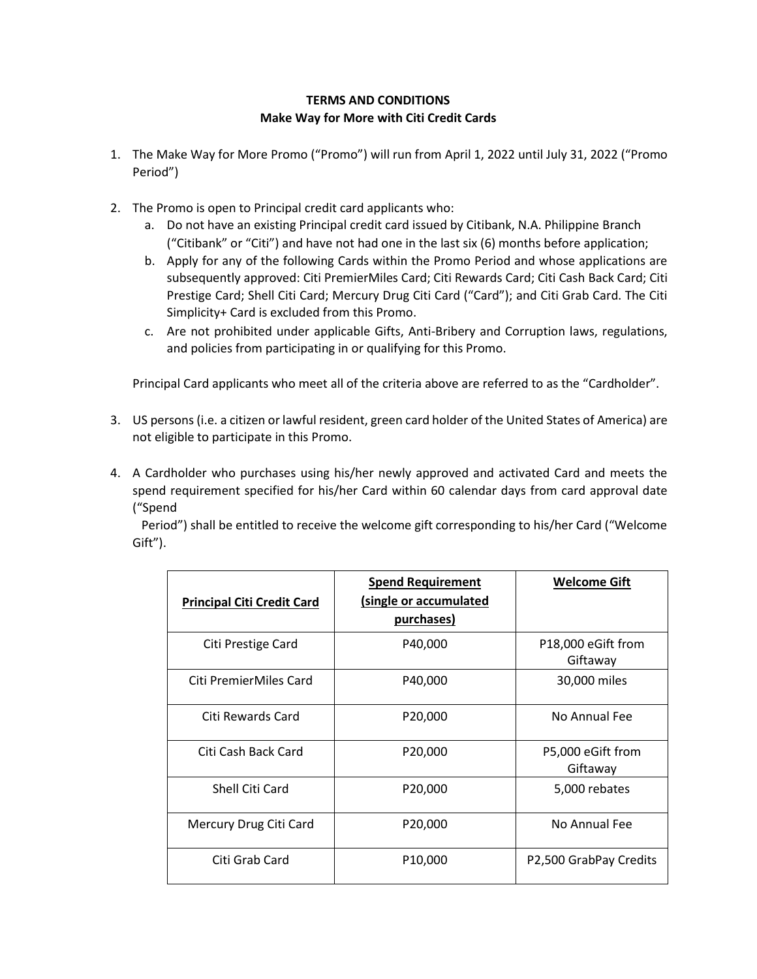# **TERMS AND CONDITIONS Make Way for More with Citi Credit Cards**

- 1. The Make Way for More Promo ("Promo") will run from April 1, 2022 until July 31, 2022 ("Promo Period")
- 2. The Promo is open to Principal credit card applicants who:
	- a. Do not have an existing Principal credit card issued by Citibank, N.A. Philippine Branch ("Citibank" or "Citi") and have not had one in the last six (6) months before application;
	- b. Apply for any of the following Cards within the Promo Period and whose applications are subsequently approved: Citi PremierMiles Card; Citi Rewards Card; Citi Cash Back Card; Citi Prestige Card; Shell Citi Card; Mercury Drug Citi Card ("Card"); and Citi Grab Card. The Citi Simplicity+ Card is excluded from this Promo.
	- c. Are not prohibited under applicable Gifts, Anti-Bribery and Corruption laws, regulations, and policies from participating in or qualifying for this Promo.

Principal Card applicants who meet all of the criteria above are referred to as the "Cardholder".

- 3. US persons (i.e. a citizen or lawful resident, green card holder of the United States of America) are not eligible to participate in this Promo.
- 4. A Cardholder who purchases using his/her newly approved and activated Card and meets the spend requirement specified for his/her Card within 60 calendar days from card approval date ("Spend

Period") shall be entitled to receive the welcome gift corresponding to his/her Card ("Welcome Gift").

| <b>Principal Citi Credit Card</b> | <b>Spend Requirement</b><br>(single or accumulated<br>purchases) | <b>Welcome Gift</b>            |
|-----------------------------------|------------------------------------------------------------------|--------------------------------|
| Citi Prestige Card                | P40,000                                                          | P18,000 eGift from<br>Giftaway |
| Citi PremierMiles Card            | P40,000                                                          | 30,000 miles                   |
| Citi Rewards Card                 | P20,000                                                          | No Annual Fee                  |
| Citi Cash Back Card               | P20,000                                                          | P5,000 eGift from<br>Giftaway  |
| Shell Citi Card                   | P20,000                                                          | 5,000 rebates                  |
| Mercury Drug Citi Card            | P20,000                                                          | No Annual Fee                  |
| Citi Grab Card                    | P <sub>10</sub> ,000                                             | P2,500 GrabPay Credits         |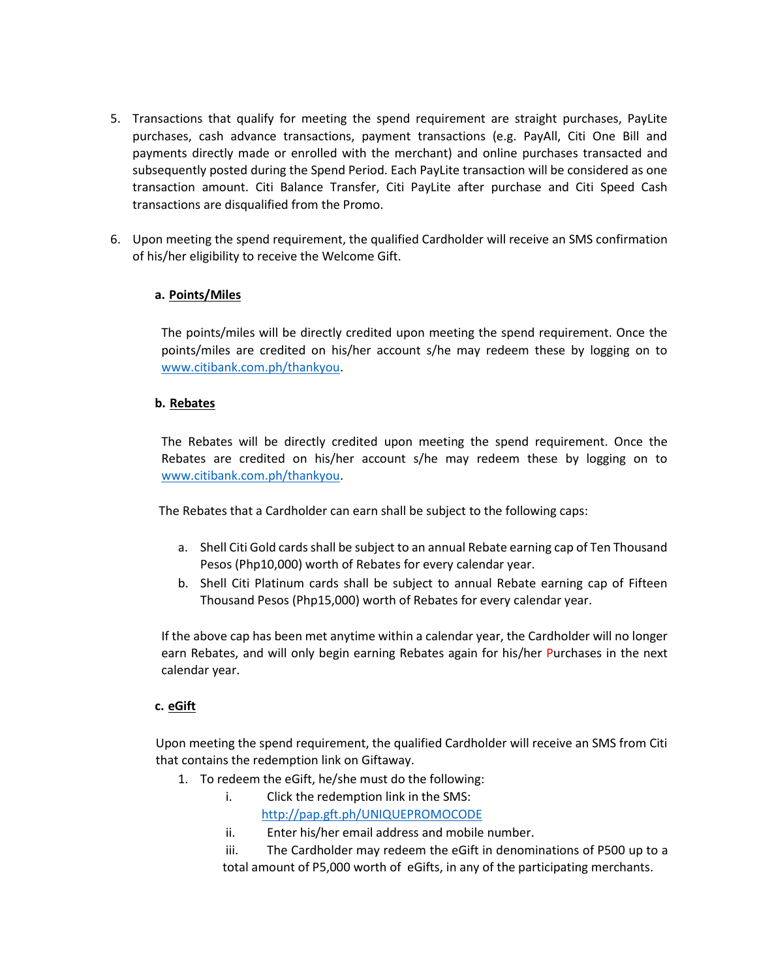- 5. Transactions that qualify for meeting the spend requirement are straight purchases, PayLite purchases, cash advance transactions, payment transactions (e.g. PayAll, Citi One Bill and payments directly made or enrolled with the merchant) and online purchases transacted and subsequently posted during the Spend Period. Each PayLite transaction will be considered as one transaction amount. Citi Balance Transfer, Citi PayLite after purchase and Citi Speed Cash transactions are disqualified from the Promo.
- 6. Upon meeting the spend requirement, the qualified Cardholder will receive an SMS confirmation of his/her eligibility to receive the Welcome Gift.

## **a. Points/Miles**

The points/miles will be directly credited upon meeting the spend requirement. Once the points/miles are credited on his/her account s/he may redeem these by logging on to [www.citibank.com.ph/thankyou.](http://www.citibank.com.ph/thankyou)

### **b. Rebates**

The Rebates will be directly credited upon meeting the spend requirement. Once the Rebates are credited on his/her account s/he may redeem these by logging on to [www.citibank.com.ph/thankyou.](http://www.citibank.com.ph/thankyou)

The Rebates that a Cardholder can earn shall be subject to the following caps:

- a. Shell Citi Gold cards shall be subject to an annual Rebate earning cap of Ten Thousand Pesos (Php10,000) worth of Rebates for every calendar year.
- b. Shell Citi Platinum cards shall be subject to annual Rebate earning cap of Fifteen Thousand Pesos (Php15,000) worth of Rebates for every calendar year.

If the above cap has been met anytime within a calendar year, the Cardholder will no longer earn Rebates, and will only begin earning Rebates again for his/her Purchases in the next calendar year.

### **c. eGift**

Upon meeting the spend requirement, the qualified Cardholder will receive an SMS from Citi that contains the redemption link on Giftaway.

- 1. To redeem the eGift, he/she must do the following:
	- i. Click the redemption link in the SMS: <http://pap.gft.ph/UNIQUEPROMOCODE>
	- ii. Enter his/her email address and mobile number.

iii. The Cardholder may redeem the eGift in denominations of P500 up to a total amount of P5,000 worth of eGifts, in any of the participating merchants.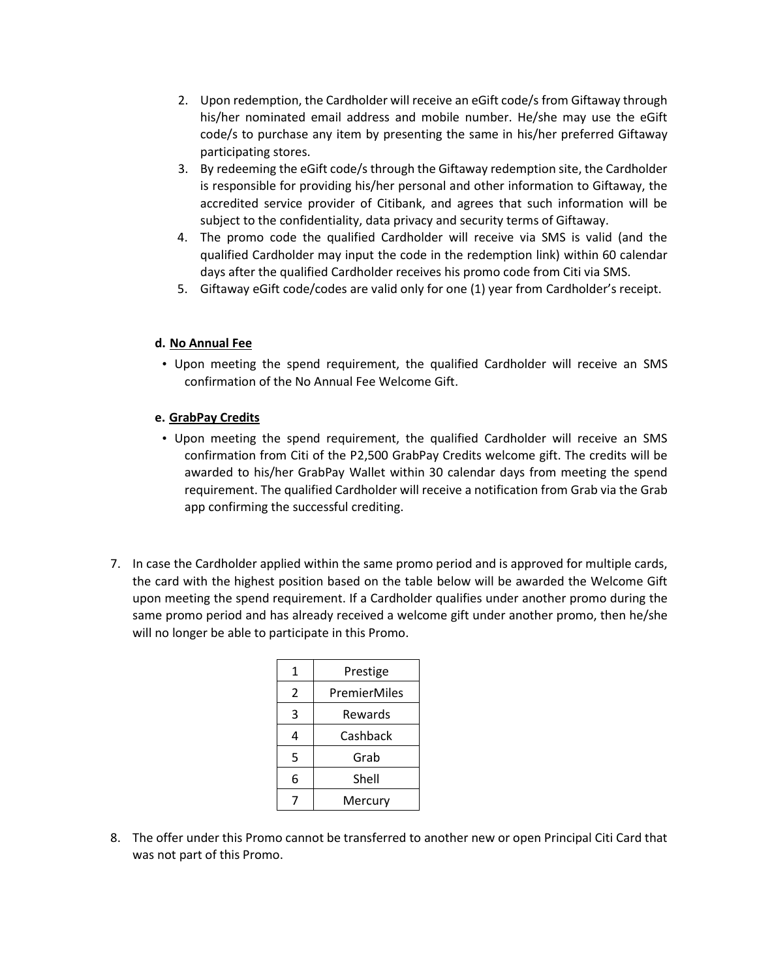- 2. Upon redemption, the Cardholder will receive an eGift code/s from Giftaway through his/her nominated email address and mobile number. He/she may use the eGift code/s to purchase any item by presenting the same in his/her preferred Giftaway participating stores.
- 3. By redeeming the eGift code/s through the Giftaway redemption site, the Cardholder is responsible for providing his/her personal and other information to Giftaway, the accredited service provider of Citibank, and agrees that such information will be subject to the confidentiality, data privacy and security terms of Giftaway.
- 4. The promo code the qualified Cardholder will receive via SMS is valid (and the qualified Cardholder may input the code in the redemption link) within 60 calendar days after the qualified Cardholder receives his promo code from Citi via SMS.
- 5. Giftaway eGift code/codes are valid only for one (1) year from Cardholder's receipt.

#### **d. No Annual Fee**

• Upon meeting the spend requirement, the qualified Cardholder will receive an SMS confirmation of the No Annual Fee Welcome Gift.

#### **e. GrabPay Credits**

- Upon meeting the spend requirement, the qualified Cardholder will receive an SMS confirmation from Citi of the P2,500 GrabPay Credits welcome gift. The credits will be awarded to his/her GrabPay Wallet within 30 calendar days from meeting the spend requirement. The qualified Cardholder will receive a notification from Grab via the Grab app confirming the successful crediting.
- 7. In case the Cardholder applied within the same promo period and is approved for multiple cards, the card with the highest position based on the table below will be awarded the Welcome Gift upon meeting the spend requirement. If a Cardholder qualifies under another promo during the same promo period and has already received a welcome gift under another promo, then he/she will no longer be able to participate in this Promo.

| 1 | Prestige     |  |
|---|--------------|--|
| 2 | PremierMiles |  |
| 3 | Rewards      |  |
| 4 | Cashback     |  |
| 5 | Grab         |  |
| 6 | Shell        |  |
|   | Mercury      |  |

8. The offer under this Promo cannot be transferred to another new or open Principal Citi Card that was not part of this Promo.